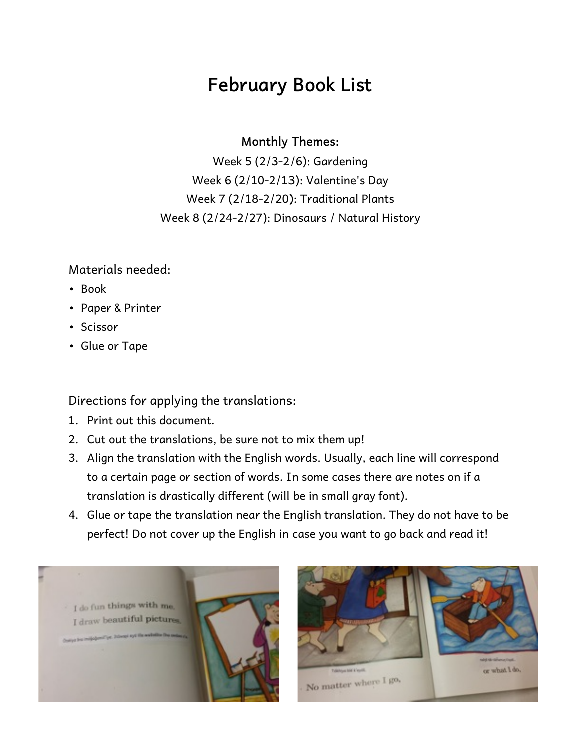## **February Book List**

**Monthly Themes:** 

Week 5 (2/3-2/6): Gardening Week 6 (2/10-2/13): Valentine's Day Week 7 (2/18-2/20): Traditional Plants Week 8 (2/24-2/27): Dinosaurs / Natural History

Materials needed:

- Book
- Paper & Printer
- Scissor
- Glue or Tape

Directions for applying the translations:

- 1. Print out this document.
- 2. Cut out the translations, be sure not to mix them up!
- 3. Align the translation with the English words. Usually, each line will correspond to a certain page or section of words. In some cases there are notes on if a translation is drastically different (will be in small gray font).
- 4. Glue or tape the translation near the English translation. They do not have to be perfect! Do not cover up the English in case you want to go back and read it!



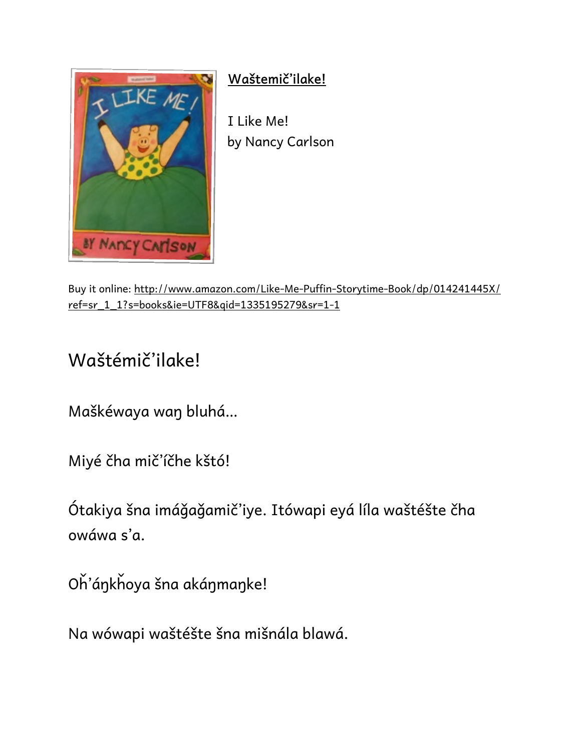

**Waštemič'ilake!**

I Like Me! by Nancy Carlson

Buy it online: http://www.amazon.com/Like-Me-Puffin-Storytime-Book/dp/014241445X/ ref=sr\_1\_1?s=books&ie=UTF8&qid=1335195279&sr=1-1

## Waštémič'ilake!

Maškéwaya waŋ bluhá…

Miyé čha mič'íčhe kštó!

Ótakiya šna imáǧaǧamič'iye. Itówapi eyá líla waštéšte čha owáwa s'a.

Oȟ'áŋkȟoya šna akáŋmaŋke!

Na wówapi waštéšte šna mišnála blawá.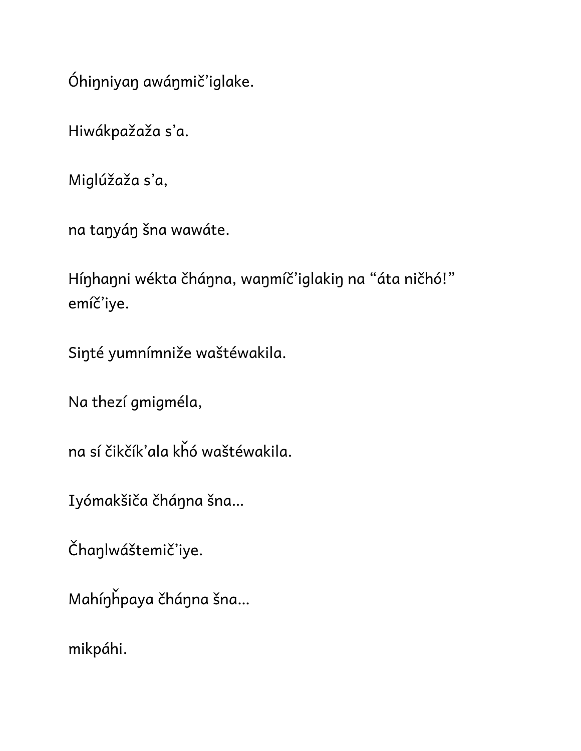Óhiŋniyaŋ awáŋmič'iglake.

Hiwákpažaža s'a.

Miglúžaža s'a,

na taŋyáŋ šna wawáte.

Híŋhaŋni wékta čháŋna, waŋmíč'iglakiŋ na "áta ničhó!" emíč'iye.

Siŋté yumnímniže waštéwakila.

Na thezí gmigméla,

na sí čikčík'ala kȟó waštéwakila.

Iyómakšiča čháŋna šna…

Čhaŋlwáštemič'iye.

Mahíŋȟpaya čháŋna šna…

mikpáhi.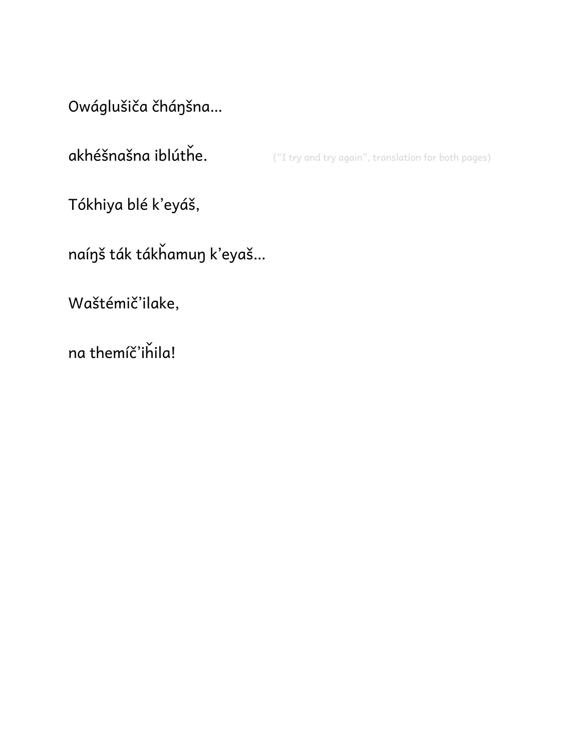Owáglušiča čhánšna...

akhéšnašna iblúthe. ("I try and try again", translation for both pages)

Tókhiya blé k'eyáš,

naínš ták tákhamun k'eyaš...

Waštémič'ilake,

na themíč'ihila!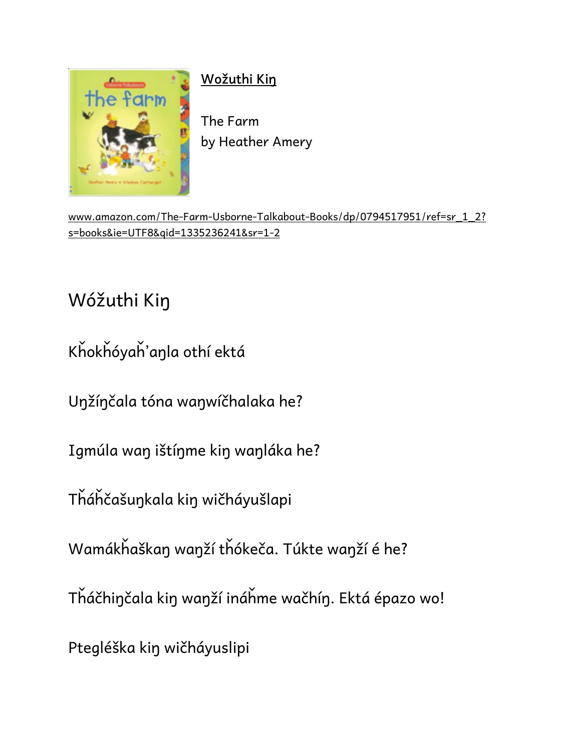

## **Wožuthi Kiŋ**

The Farm by Heather Amery

www.amazon.com/The-Farm-Usborne-Talkabout-Books/dp/0794517951/ref=sr\_1\_2? s=books&ie=UTF8&qid=1335236241&sr=1-2

## Wóžuthi Kiŋ

Kȟokȟóyaȟ'aŋla othí ektá

Uŋžíŋčala tóna waŋwíčhalaka he?

Igmúla waŋ ištíŋme kiŋ waŋláka he?

Tȟáȟčašuŋkala kiŋ wičháyušlapi

Wamákȟaškaŋ waŋží tȟókeča. Túkte waŋží é he?

Tȟáčhiŋčala kiŋ waŋží ináȟme wačhíŋ. Ektá épazo wo!

Ptegléška kiŋ wičháyuslipi